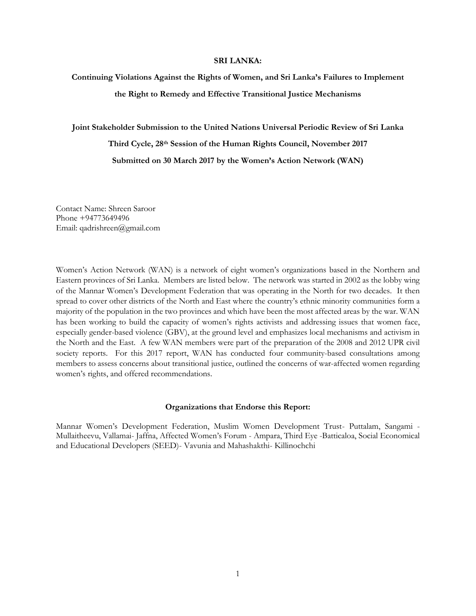#### **SRI LANKA:**

# **Continuing Violations Against the Rights of Women, and Sri Lanka's Failures to Implement the Right to Remedy and Effective Transitional Justice Mechanisms**

**Joint Stakeholder Submission to the United Nations Universal Periodic Review of Sri Lanka Third Cycle, 28th Session of the Human Rights Council, November 2017 Submitted on 30 March 2017 by the Women's Action Network (WAN)**

Contact Name: Shreen Saroor Phone +94773649496 Email: qadrishreen@gmail.com

Women's Action Network (WAN) is a network of eight women's organizations based in the Northern and Eastern provinces of Sri Lanka. Members are listed below. The network was started in 2002 as the lobby wing of the Mannar Women's Development Federation that was operating in the North for two decades. It then spread to cover other districts of the North and East where the country's ethnic minority communities form a majority of the population in the two provinces and which have been the most affected areas by the war. WAN has been working to build the capacity of women's rights activists and addressing issues that women face, especially gender-based violence (GBV), at the ground level and emphasizes local mechanisms and activism in the North and the East. A few WAN members were part of the preparation of the 2008 and 2012 UPR civil society reports. For this 2017 report, WAN has conducted four community-based consultations among members to assess concerns about transitional justice, outlined the concerns of war-affected women regarding women's rights, and offered recommendations.

#### **Organizations that Endorse this Report:**

Mannar Women's Development Federation, Muslim Women Development Trust- Puttalam, Sangami - Mullaitheevu, Vallamai- Jaffna, Affected Women's Forum - Ampara, Third Eye -Batticaloa, Social Economical and Educational Developers (SEED)- Vavunia and Mahashakthi- Killinochchi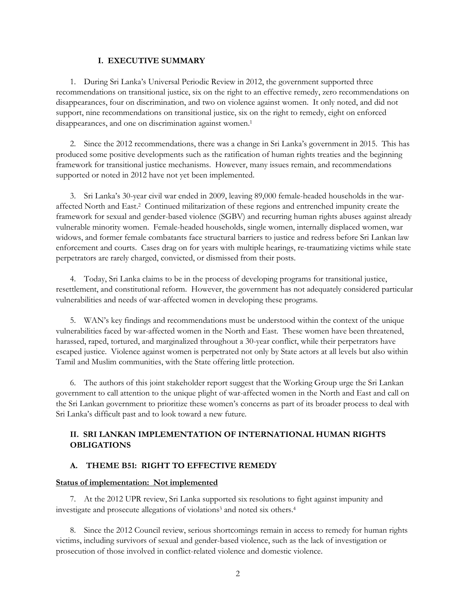#### **I. EXECUTIVE SUMMARY**

1. During Sri Lanka's Universal Periodic Review in 2012, the government supported three recommendations on transitional justice, six on the right to an effective remedy, zero recommendations on disappearances, four on discrimination, and two on violence against women. It only noted, and did not support, nine recommendations on transitional justice, six on the right to remedy, eight on enforced disappearances, and one on discrimination against women. 1

2. Since the 2012 recommendations, there was a change in Sri Lanka's government in 2015. This has produced some positive developments such as the ratification of human rights treaties and the beginning framework for transitional justice mechanisms. However, many issues remain, and recommendations supported or noted in 2012 have not yet been implemented.

3. Sri Lanka's 30-year civil war ended in 2009, leaving 89,000 female-headed households in the waraffected North and East.<sup>2</sup> Continued militarization of these regions and entrenched impunity create the framework for sexual and gender-based violence (SGBV) and recurring human rights abuses against already vulnerable minority women. Female-headed households, single women, internally displaced women, war widows, and former female combatants face structural barriers to justice and redress before Sri Lankan law enforcement and courts. Cases drag on for years with multiple hearings, re-traumatizing victims while state perpetrators are rarely charged, convicted, or dismissed from their posts.

4. Today, Sri Lanka claims to be in the process of developing programs for transitional justice, resettlement, and constitutional reform. However, the government has not adequately considered particular vulnerabilities and needs of war-affected women in developing these programs.

5. WAN's key findings and recommendations must be understood within the context of the unique vulnerabilities faced by war-affected women in the North and East. These women have been threatened, harassed, raped, tortured, and marginalized throughout a 30-year conflict, while their perpetrators have escaped justice. Violence against women is perpetrated not only by State actors at all levels but also within Tamil and Muslim communities, with the State offering little protection.

6. The authors of this joint stakeholder report suggest that the Working Group urge the Sri Lankan government to call attention to the unique plight of war-affected women in the North and East and call on the Sri Lankan government to prioritize these women's concerns as part of its broader process to deal with Sri Lanka's difficult past and to look toward a new future.

## **II. SRI LANKAN IMPLEMENTATION OF INTERNATIONAL HUMAN RIGHTS OBLIGATIONS**

### **A. THEME B51: RIGHT TO EFFECTIVE REMEDY**

#### **Status of implementation: Not implemented**

7. At the 2012 UPR review, Sri Lanka supported six resolutions to fight against impunity and investigate and prosecute allegations of violations<sup>3</sup> and noted six others.<sup>4</sup>

8. Since the 2012 Council review, serious shortcomings remain in access to remedy for human rights victims, including survivors of sexual and gender-based violence, such as the lack of investigation or prosecution of those involved in conflict-related violence and domestic violence.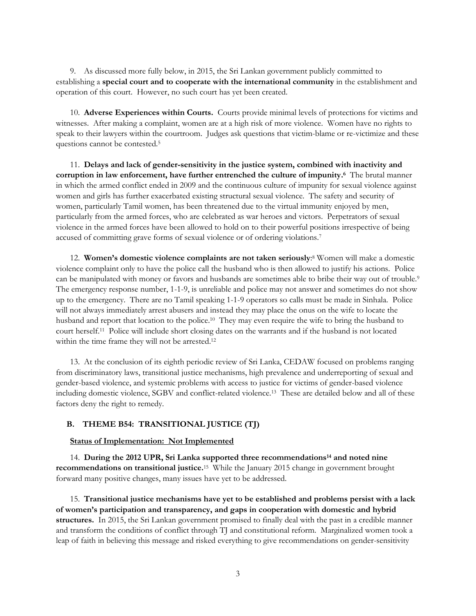9. As discussed more fully below, in 2015, the Sri Lankan government publicly committed to establishing a **special court and to cooperate with the international community** in the establishment and operation of this court. However, no such court has yet been created.

10. **Adverse Experiences within Courts.** Courts provide minimal levels of protections for victims and witnesses. After making a complaint, women are at a high risk of more violence. Women have no rights to speak to their lawyers within the courtroom. Judges ask questions that victim-blame or re-victimize and these questions cannot be contested.<sup>5</sup>

11. **Delays and lack of gender-sensitivity in the justice system, combined with inactivity and corruption in law enforcement, have further entrenched the culture of impunity. 6** The brutal manner in which the armed conflict ended in 2009 and the continuous culture of impunity for sexual violence against women and girls has further exacerbated existing structural sexual violence. The safety and security of women, particularly Tamil women, has been threatened due to the virtual immunity enjoyed by men, particularly from the armed forces, who are celebrated as war heroes and victors. Perpetrators of sexual violence in the armed forces have been allowed to hold on to their powerful positions irrespective of being accused of committing grave forms of sexual violence or of ordering violations.<sup>7</sup>

12. **Women's domestic violence complaints are not taken seriously**: <sup>8</sup> Women will make a domestic violence complaint only to have the police call the husband who is then allowed to justify his actions. Police can be manipulated with money or favors and husbands are sometimes able to bribe their way out of trouble.<sup>9</sup> The emergency response number, 1-1-9, is unreliable and police may not answer and sometimes do not show up to the emergency. There are no Tamil speaking 1-1-9 operators so calls must be made in Sinhala. Police will not always immediately arrest abusers and instead they may place the onus on the wife to locate the husband and report that location to the police.<sup>10</sup> They may even require the wife to bring the husband to court herself.<sup>11</sup> Police will include short closing dates on the warrants and if the husband is not located within the time frame they will not be arrested.<sup>12</sup>

13. At the conclusion of its eighth periodic review of Sri Lanka, CEDAW focused on problems ranging from discriminatory laws, transitional justice mechanisms, high prevalence and underreporting of sexual and gender-based violence, and systemic problems with access to justice for victims of gender-based violence including domestic violence, SGBV and conflict-related violence.<sup>13</sup> These are detailed below and all of these factors deny the right to remedy.

#### **B. THEME B54: TRANSITIONAL JUSTICE (TJ)**

#### **Status of Implementation: Not Implemented**

14. **During the 2012 UPR, Sri Lanka supported three recommendations<sup>14</sup> and noted nine recommendations on transitional justice.** 15 While the January 2015 change in government brought forward many positive changes, many issues have yet to be addressed.

15. **Transitional justice mechanisms have yet to be established and problems persist with a lack of women's participation and transparency, and gaps in cooperation with domestic and hybrid structures.** In 2015, the Sri Lankan government promised to finally deal with the past in a credible manner and transform the conditions of conflict through TJ and constitutional reform. Marginalized women took a leap of faith in believing this message and risked everything to give recommendations on gender-sensitivity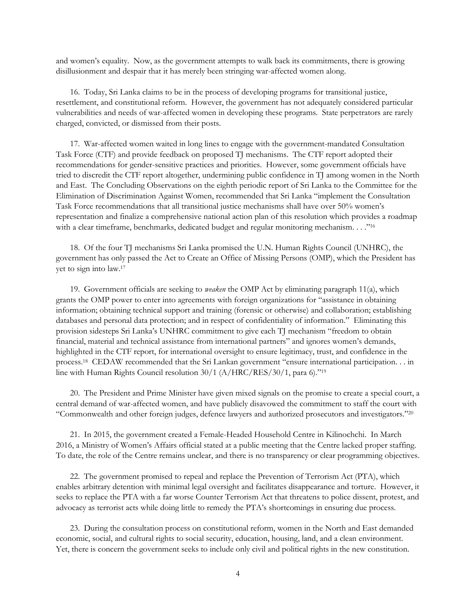and women's equality. Now, as the government attempts to walk back its commitments, there is growing disillusionment and despair that it has merely been stringing war-affected women along.

16. Today, Sri Lanka claims to be in the process of developing programs for transitional justice, resettlement, and constitutional reform. However, the government has not adequately considered particular vulnerabilities and needs of war-affected women in developing these programs. State perpetrators are rarely charged, convicted, or dismissed from their posts.

17. War-affected women waited in long lines to engage with the government-mandated Consultation Task Force (CTF) and provide feedback on proposed TJ mechanisms. The CTF report adopted their recommendations for gender-sensitive practices and priorities. However, some government officials have tried to discredit the CTF report altogether, undermining public confidence in TJ among women in the North and East. The Concluding Observations on the eighth periodic report of Sri Lanka to the Committee for the Elimination of Discrimination Against Women, recommended that Sri Lanka "implement the Consultation Task Force recommendations that all transitional justice mechanisms shall have over 50% women's representation and finalize a comprehensive national action plan of this resolution which provides a roadmap with a clear timeframe, benchmarks, dedicated budget and regular monitoring mechanism. . . ."<sup>16</sup>

18. Of the four TJ mechanisms Sri Lanka promised the U.N. Human Rights Council (UNHRC), the government has only passed the Act to Create an Office of Missing Persons (OMP), which the President has yet to sign into law.<sup>17</sup>

19. Government officials are seeking to *weaken* the OMP Act by eliminating paragraph 11(a), which grants the OMP power to enter into agreements with foreign organizations for "assistance in obtaining information; obtaining technical support and training (forensic or otherwise) and collaboration; establishing databases and personal data protection; and in respect of confidentiality of information." Eliminating this provision sidesteps Sri Lanka's UNHRC commitment to give each TJ mechanism "freedom to obtain financial, material and technical assistance from international partners" and ignores women's demands, highlighted in the CTF report, for international oversight to ensure legitimacy, trust, and confidence in the process.<sup>18</sup> CEDAW recommended that the Sri Lankan government "ensure international participation. . . in line with Human Rights Council resolution 30/1 (A/HRC/RES/30/1, para 6)."<sup>19</sup>

20. The President and Prime Minister have given mixed signals on the promise to create a special court, a central demand of war-affected women, and have publicly disavowed the commitment to staff the court with "Commonwealth and other foreign judges, defence lawyers and authorized prosecutors and investigators."<sup>20</sup>

21. In 2015, the government created a Female-Headed Household Centre in Kilinochchi. In March 2016, a Ministry of Women's Affairs official stated at a public meeting that the Centre lacked proper staffing. To date, the role of the Centre remains unclear, and there is no transparency or clear programming objectives.

22. The government promised to repeal and replace the Prevention of Terrorism Act (PTA), which enables arbitrary detention with minimal legal oversight and facilitates disappearance and torture. However, it seeks to replace the PTA with a far worse Counter Terrorism Act that threatens to police dissent, protest, and advocacy as terrorist acts while doing little to remedy the PTA's shortcomings in ensuring due process.

23. During the consultation process on constitutional reform, women in the North and East demanded economic, social, and cultural rights to social security, education, housing, land, and a clean environment. Yet, there is concern the government seeks to include only civil and political rights in the new constitution.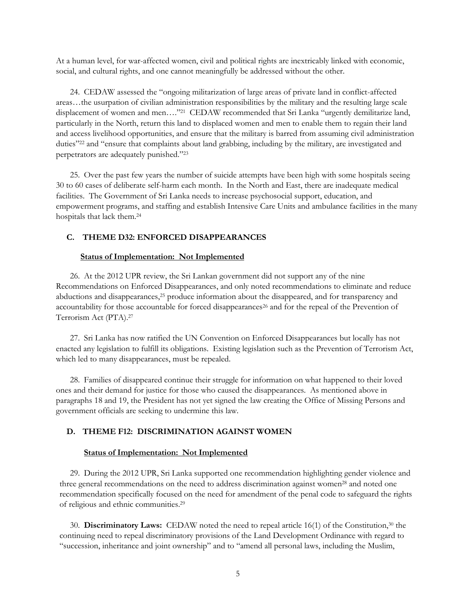At a human level, for war-affected women, civil and political rights are inextricably linked with economic, social, and cultural rights, and one cannot meaningfully be addressed without the other.

24. CEDAW assessed the "ongoing militarization of large areas of private land in conflict-affected areas…the usurpation of civilian administration responsibilities by the military and the resulting large scale displacement of women and men…." <sup>21</sup> CEDAW recommended that Sri Lanka "urgently demilitarize land, particularly in the North, return this land to displaced women and men to enable them to regain their land and access livelihood opportunities, and ensure that the military is barred from assuming civil administration duties"<sup>22</sup> and "ensure that complaints about land grabbing, including by the military, are investigated and perpetrators are adequately punished."<sup>23</sup>

25. Over the past few years the number of suicide attempts have been high with some hospitals seeing 30 to 60 cases of deliberate self-harm each month. In the North and East, there are inadequate medical facilities. The Government of Sri Lanka needs to increase psychosocial support, education, and empowerment programs, and staffing and establish Intensive Care Units and ambulance facilities in the many hospitals that lack them.<sup>24</sup>

#### **C. THEME D32: ENFORCED DISAPPEARANCES**

#### **Status of Implementation: Not Implemented**

26. At the 2012 UPR review, the Sri Lankan government did not support any of the nine Recommendations on Enforced Disappearances, and only noted recommendations to eliminate and reduce abductions and disappearances,<sup>25</sup> produce information about the disappeared, and for transparency and accountability for those accountable for forced disappearances<sup>26</sup> and for the repeal of the Prevention of Terrorism Act (PTA).<sup>27</sup>

27. Sri Lanka has now ratified the UN Convention on Enforced Disappearances but locally has not enacted any legislation to fulfill its obligations. Existing legislation such as the Prevention of Terrorism Act, which led to many disappearances, must be repealed.

28. Families of disappeared continue their struggle for information on what happened to their loved ones and their demand for justice for those who caused the disappearances. As mentioned above in paragraphs 18 and 19, the President has not yet signed the law creating the Office of Missing Persons and government officials are seeking to undermine this law.

#### **D. THEME F12: DISCRIMINATION AGAINST WOMEN**

#### **Status of Implementation: Not Implemented**

29. During the 2012 UPR, Sri Lanka supported one recommendation highlighting gender violence and three general recommendations on the need to address discrimination against women<sup>28</sup> and noted one recommendation specifically focused on the need for amendment of the penal code to safeguard the rights of religious and ethnic communities.<sup>29</sup>

30. **Discriminatory Laws:** CEDAW noted the need to repeal article 16(1) of the Constitution,<sup>30</sup> the continuing need to repeal discriminatory provisions of the Land Development Ordinance with regard to "succession, inheritance and joint ownership" and to "amend all personal laws, including the Muslim,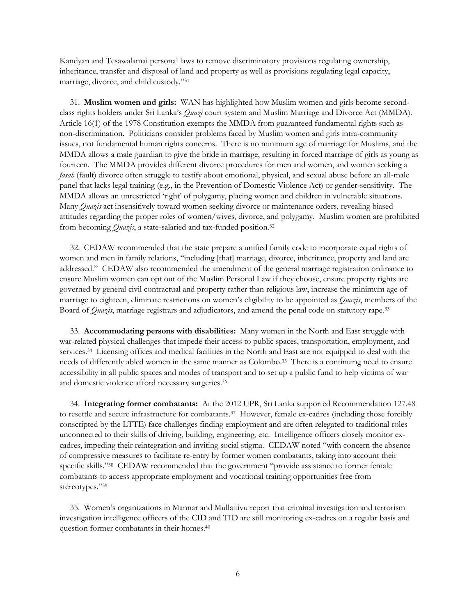Kandyan and Tesawalamai personal laws to remove discriminatory provisions regulating ownership, inheritance, transfer and disposal of land and property as well as provisions regulating legal capacity, marriage, divorce, and child custody."<sup>31</sup>

31. **Muslim women and girls:** WAN has highlighted how Muslim women and girls become secondclass rights holders under Sri Lanka's *Quazi* court system and Muslim Marriage and Divorce Act (MMDA). Article 16(1) of the 1978 Constitution exempts the MMDA from guaranteed fundamental rights such as non-discrimination. Politicians consider problems faced by Muslim women and girls intra-community issues, not fundamental human rights concerns. There is no minimum age of marriage for Muslims, and the MMDA allows a male guardian to give the bride in marriage, resulting in forced marriage of girls as young as fourteen. The MMDA provides different divorce procedures for men and women, and women seeking a *fasah* (fault) divorce often struggle to testify about emotional, physical, and sexual abuse before an all-male panel that lacks legal training (e.g., in the Prevention of Domestic Violence Act) or gender-sensitivity. The MMDA allows an unrestricted 'right' of polygamy, placing women and children in vulnerable situations. Many *Quazis* act insensitively toward women seeking divorce or maintenance orders, revealing biased attitudes regarding the proper roles of women/wives, divorce, and polygamy. Muslim women are prohibited from becoming *Quazis*, a state-salaried and tax-funded position.<sup>32</sup>

32. CEDAW recommended that the state prepare a unified family code to incorporate equal rights of women and men in family relations, "including [that] marriage, divorce, inheritance, property and land are addressed." CEDAW also recommended the amendment of the general marriage registration ordinance to ensure Muslim women can opt out of the Muslim Personal Law if they choose, ensure property rights are governed by general civil contractual and property rather than religious law, increase the minimum age of marriage to eighteen, eliminate restrictions on women's eligibility to be appointed as *Quazis*, members of the Board of *Quazis*, marriage registrars and adjudicators, and amend the penal code on statutory rape.<sup>33</sup>

33. **Accommodating persons with disabilities:** Many women in the North and East struggle with war-related physical challenges that impede their access to public spaces, transportation, employment, and services.<sup>34</sup> Licensing offices and medical facilities in the North and East are not equipped to deal with the needs of differently abled women in the same manner as Colombo.<sup>35</sup> There is a continuing need to ensure accessibility in all public spaces and modes of transport and to set up a public fund to help victims of war and domestic violence afford necessary surgeries.<sup>36</sup>

34. **Integrating former combatants:** At the 2012 UPR, Sri Lanka supported Recommendation 127.48 to resettle and secure infrastructure for combatants.<sup>37</sup> However, female ex-cadres (including those forcibly conscripted by the LTTE) face challenges finding employment and are often relegated to traditional roles unconnected to their skills of driving, building, engineering, etc. Intelligence officers closely monitor excadres, impeding their reintegration and inviting social stigma. CEDAW noted "with concern the absence of compressive measures to facilitate re-entry by former women combatants, taking into account their specific skills."<sup>38</sup> CEDAW recommended that the government "provide assistance to former female combatants to access appropriate employment and vocational training opportunities free from stereotypes."39

35. Women's organizations in Mannar and Mullaitivu report that criminal investigation and terrorism investigation intelligence officers of the CID and TID are still monitoring ex-cadres on a regular basis and question former combatants in their homes.<sup>40</sup>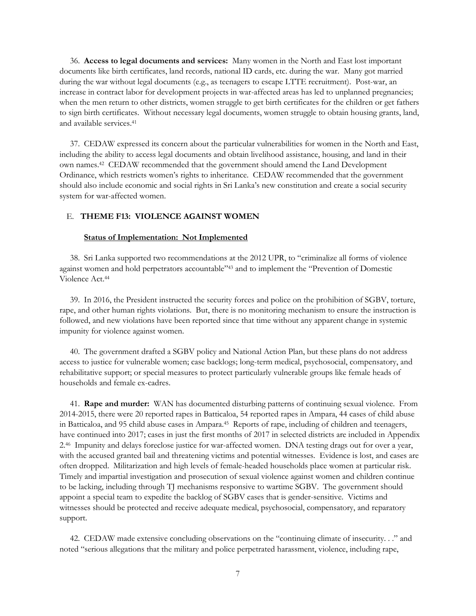36. **Access to legal documents and services:** Many women in the North and East lost important documents like birth certificates, land records, national ID cards, etc. during the war. Many got married during the war without legal documents (e.g., as teenagers to escape LTTE recruitment). Post-war, an increase in contract labor for development projects in war-affected areas has led to unplanned pregnancies; when the men return to other districts, women struggle to get birth certificates for the children or get fathers to sign birth certificates. Without necessary legal documents, women struggle to obtain housing grants, land, and available services.<sup>41</sup>

37. CEDAW expressed its concern about the particular vulnerabilities for women in the North and East, including the ability to access legal documents and obtain livelihood assistance, housing, and land in their own names.<sup>42</sup> CEDAW recommended that the government should amend the Land Development Ordinance, which restricts women's rights to inheritance. CEDAW recommended that the government should also include economic and social rights in Sri Lanka's new constitution and create a social security system for war-affected women.

## E. **THEME F13: VIOLENCE AGAINST WOMEN**

#### **Status of Implementation: Not Implemented**

38. Sri Lanka supported two recommendations at the 2012 UPR, to "criminalize all forms of violence against women and hold perpetrators accountable"<sup>43</sup> and to implement the "Prevention of Domestic Violence Act.<sup>44</sup>

39. In 2016, the President instructed the security forces and police on the prohibition of SGBV, torture, rape, and other human rights violations. But, there is no monitoring mechanism to ensure the instruction is followed, and new violations have been reported since that time without any apparent change in systemic impunity for violence against women.

40. The government drafted a SGBV policy and National Action Plan, but these plans do not address access to justice for vulnerable women; case backlogs; long-term medical, psychosocial, compensatory, and rehabilitative support; or special measures to protect particularly vulnerable groups like female heads of households and female ex-cadres.

41. **Rape and murder:** WAN has documented disturbing patterns of continuing sexual violence. From 2014-2015, there were 20 reported rapes in Batticaloa, 54 reported rapes in Ampara, 44 cases of child abuse in Batticaloa, and 95 child abuse cases in Ampara.<sup>45</sup> Reports of rape, including of children and teenagers, have continued into 2017; cases in just the first months of 2017 in selected districts are included in Appendix 2.<sup>46</sup> Impunity and delays foreclose justice for war-affected women. DNA testing drags out for over a year, with the accused granted bail and threatening victims and potential witnesses. Evidence is lost, and cases are often dropped. Militarization and high levels of female-headed households place women at particular risk. Timely and impartial investigation and prosecution of sexual violence against women and children continue to be lacking, including through TJ mechanisms responsive to wartime SGBV. The government should appoint a special team to expedite the backlog of SGBV cases that is gender-sensitive. Victims and witnesses should be protected and receive adequate medical, psychosocial, compensatory, and reparatory support.

42. CEDAW made extensive concluding observations on the "continuing climate of insecurity. . ." and noted "serious allegations that the military and police perpetrated harassment, violence, including rape,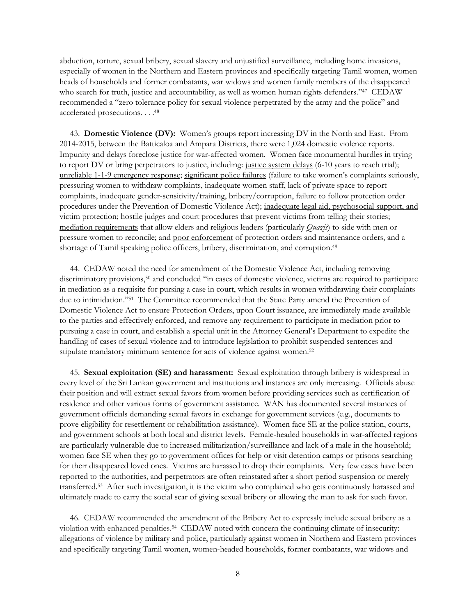abduction, torture, sexual bribery, sexual slavery and unjustified surveillance, including home invasions, especially of women in the Northern and Eastern provinces and specifically targeting Tamil women, women heads of households and former combatants, war widows and women family members of the disappeared who search for truth, justice and accountability, as well as women human rights defenders."<sup>47</sup> CEDAW recommended a "zero tolerance policy for sexual violence perpetrated by the army and the police" and accelerated prosecutions. . . . 48

43. **Domestic Violence (DV):** Women's groups report increasing DV in the North and East. From 2014-2015, between the Batticaloa and Ampara Districts, there were 1,024 domestic violence reports. Impunity and delays foreclose justice for war-affected women. Women face monumental hurdles in trying to report DV or bring perpetrators to justice, including: justice system delays (6-10 years to reach trial); unreliable 1-1-9 emergency response; significant police failures (failure to take women's complaints seriously, pressuring women to withdraw complaints, inadequate women staff, lack of private space to report complaints, inadequate gender-sensitivity/training, bribery/corruption, failure to follow protection order procedures under the Prevention of Domestic Violence Act); inadequate legal aid, psychosocial support, and victim protection; hostile judges and court procedures that prevent victims from telling their stories; mediation requirements that allow elders and religious leaders (particularly *Quazis*) to side with men or pressure women to reconcile; and poor enforcement of protection orders and maintenance orders, and a shortage of Tamil speaking police officers, bribery, discrimination, and corruption.<sup>49</sup>

44. CEDAW noted the need for amendment of the Domestic Violence Act, including removing discriminatory provisions, <sup>50</sup> and concluded "in cases of domestic violence, victims are required to participate in mediation as a requisite for pursing a case in court, which results in women withdrawing their complaints due to intimidation." 51 The Committee recommended that the State Party amend the Prevention of Domestic Violence Act to ensure Protection Orders, upon Court issuance, are immediately made available to the parties and effectively enforced, and remove any requirement to participate in mediation prior to pursuing a case in court, and establish a special unit in the Attorney General's Department to expedite the handling of cases of sexual violence and to introduce legislation to prohibit suspended sentences and stipulate mandatory minimum sentence for acts of violence against women.<sup>52</sup>

45. **Sexual exploitation (SE) and harassment:** Sexual exploitation through bribery is widespread in every level of the Sri Lankan government and institutions and instances are only increasing. Officials abuse their position and will extract sexual favors from women before providing services such as certification of residence and other various forms of government assistance. WAN has documented several instances of government officials demanding sexual favors in exchange for government services (e.g., documents to prove eligibility for resettlement or rehabilitation assistance). Women face SE at the police station, courts, and government schools at both local and district levels. Female-headed households in war-affected regions are particularly vulnerable due to increased militarization/surveillance and lack of a male in the household; women face SE when they go to government offices for help or visit detention camps or prisons searching for their disappeared loved ones. Victims are harassed to drop their complaints. Very few cases have been reported to the authorities, and perpetrators are often reinstated after a short period suspension or merely transferred.<sup>53</sup> After such investigation, it is the victim who complained who gets continuously harassed and ultimately made to carry the social scar of giving sexual bribery or allowing the man to ask for such favor.

46. CEDAW recommended the amendment of the Bribery Act to expressly include sexual bribery as a violation with enhanced penalties.<sup>54</sup> CEDAW noted with concern the continuing climate of insecurity: allegations of violence by military and police, particularly against women in Northern and Eastern provinces and specifically targeting Tamil women, women-headed households, former combatants, war widows and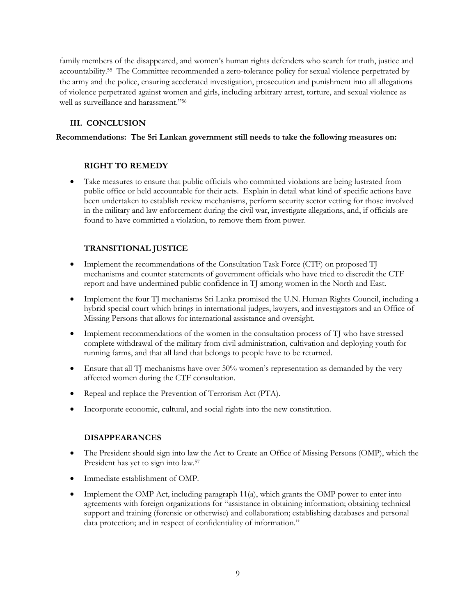family members of the disappeared, and women's human rights defenders who search for truth, justice and accountability.<sup>55</sup> The Committee recommended a zero-tolerance policy for sexual violence perpetrated by the army and the police, ensuring accelerated investigation, prosecution and punishment into all allegations of violence perpetrated against women and girls, including arbitrary arrest, torture, and sexual violence as well as surveillance and harassment."<sup>56</sup>

## **III. CONCLUSION**

## **Recommendations: The Sri Lankan government still needs to take the following measures on:**

### **RIGHT TO REMEDY**

 Take measures to ensure that public officials who committed violations are being lustrated from public office or held accountable for their acts. Explain in detail what kind of specific actions have been undertaken to establish review mechanisms, perform security sector vetting for those involved in the military and law enforcement during the civil war, investigate allegations, and, if officials are found to have committed a violation, to remove them from power.

## **TRANSITIONAL JUSTICE**

- Implement the recommendations of the Consultation Task Force (CTF) on proposed TJ mechanisms and counter statements of government officials who have tried to discredit the CTF report and have undermined public confidence in TJ among women in the North and East.
- Implement the four TJ mechanisms Sri Lanka promised the U.N. Human Rights Council, including a hybrid special court which brings in international judges, lawyers, and investigators and an Office of Missing Persons that allows for international assistance and oversight.
- Implement recommendations of the women in the consultation process of TJ who have stressed complete withdrawal of the military from civil administration, cultivation and deploying youth for running farms, and that all land that belongs to people have to be returned.
- Ensure that all TJ mechanisms have over 50% women's representation as demanded by the very affected women during the CTF consultation.
- Repeal and replace the Prevention of Terrorism Act (PTA).
- Incorporate economic, cultural, and social rights into the new constitution.

## **DISAPPEARANCES**

- The President should sign into law the Act to Create an Office of Missing Persons (OMP), which the President has yet to sign into law.<sup>57</sup>
- Immediate establishment of OMP.
- Implement the OMP Act, including paragraph 11(a), which grants the OMP power to enter into agreements with foreign organizations for "assistance in obtaining information; obtaining technical support and training (forensic or otherwise) and collaboration; establishing databases and personal data protection; and in respect of confidentiality of information."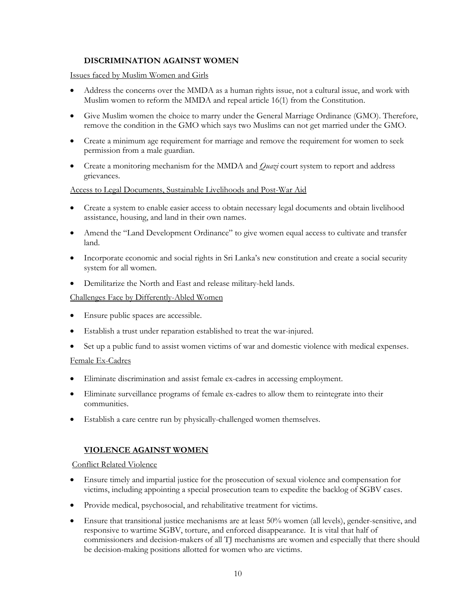## **DISCRIMINATION AGAINST WOMEN**

Issues faced by Muslim Women and Girls

- Address the concerns over the MMDA as a human rights issue, not a cultural issue, and work with Muslim women to reform the MMDA and repeal article 16(1) from the Constitution.
- Give Muslim women the choice to marry under the General Marriage Ordinance (GMO). Therefore, remove the condition in the GMO which says two Muslims can not get married under the GMO.
- Create a minimum age requirement for marriage and remove the requirement for women to seek permission from a male guardian.
- Create a monitoring mechanism for the MMDA and *Quazi* court system to report and address grievances.

### Access to Legal Documents, Sustainable Livelihoods and Post-War Aid

- Create a system to enable easier access to obtain necessary legal documents and obtain livelihood assistance, housing, and land in their own names.
- Amend the "Land Development Ordinance" to give women equal access to cultivate and transfer land.
- Incorporate economic and social rights in Sri Lanka's new constitution and create a social security system for all women.
- Demilitarize the North and East and release military-held lands.

### Challenges Face by Differently-Abled Women

- Ensure public spaces are accessible.
- Establish a trust under reparation established to treat the war-injured.
- Set up a public fund to assist women victims of war and domestic violence with medical expenses.

#### Female Ex-Cadres

- Eliminate discrimination and assist female ex-cadres in accessing employment.
- Eliminate surveillance programs of female ex-cadres to allow them to reintegrate into their communities.
- Establish a care centre run by physically-challenged women themselves.

## **VIOLENCE AGAINST WOMEN**

#### Conflict Related Violence

- Ensure timely and impartial justice for the prosecution of sexual violence and compensation for victims, including appointing a special prosecution team to expedite the backlog of SGBV cases.
- Provide medical, psychosocial, and rehabilitative treatment for victims.
- Ensure that transitional justice mechanisms are at least 50% women (all levels), gender-sensitive, and responsive to wartime SGBV, torture, and enforced disappearance. It is vital that half of commissioners and decision-makers of all TJ mechanisms are women and especially that there should be decision-making positions allotted for women who are victims.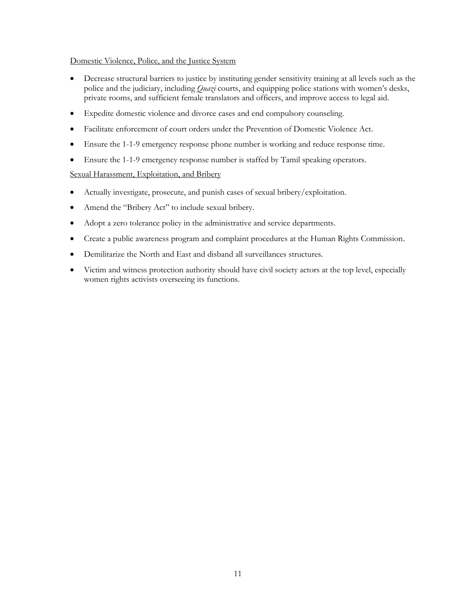## Domestic Violence, Police, and the Justice System

- Decrease structural barriers to justice by instituting gender sensitivity training at all levels such as the police and the judiciary, including *Quazi* courts, and equipping police stations with women's desks, private rooms, and sufficient female translators and officers, and improve access to legal aid.
- Expedite domestic violence and divorce cases and end compulsory counseling.
- Facilitate enforcement of court orders under the Prevention of Domestic Violence Act.
- Ensure the 1-1-9 emergency response phone number is working and reduce response time.
- Ensure the 1-1-9 emergency response number is staffed by Tamil speaking operators.

## Sexual Harassment, Exploitation, and Bribery

- Actually investigate, prosecute, and punish cases of sexual bribery/exploitation.
- Amend the "Bribery Act" to include sexual bribery.
- Adopt a zero tolerance policy in the administrative and service departments.
- Create a public awareness program and complaint procedures at the Human Rights Commission.
- Demilitarize the North and East and disband all surveillances structures.
- Victim and witness protection authority should have civil society actors at the top level, especially women rights activists overseeing its functions.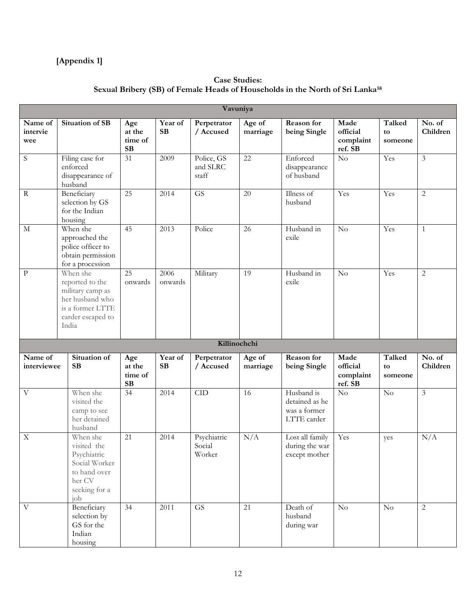## **[Appendix 1]**

## **Case Studies: Sexual Bribery (SB) of Female Heads of Households in the North of Sri Lanka<sup>58</sup>**

| Vavuniya                   |                                                                                                                      |                                       |                      |                                 |                    |                                                             |                                          |                         |                         |
|----------------------------|----------------------------------------------------------------------------------------------------------------------|---------------------------------------|----------------------|---------------------------------|--------------------|-------------------------------------------------------------|------------------------------------------|-------------------------|-------------------------|
| Name of<br>intervie<br>wee | Situation of SB                                                                                                      | Age<br>at the<br>time of<br><b>SB</b> | Year of<br><b>SB</b> | Perpetrator<br>/ Accused        | Age of<br>marriage | Reason for<br>being Single                                  | Made<br>official<br>complaint<br>ref. SB | Talked<br>to<br>someone | No. of<br>Children      |
| S                          | Filing case for<br>enforced<br>disappearance of<br>husband                                                           | 31                                    | 2009                 | Police, GS<br>and SLRC<br>staff | 22                 | Enforced<br>disappearance<br>of husband                     | $\overline{No}$                          | Yes                     | $\overline{\mathbf{3}}$ |
| $\mathbf R$                | Beneficiary<br>selection by GS<br>for the Indian<br>housing                                                          | 25                                    | 2014                 | <b>GS</b>                       | 20                 | Illness of<br>husband                                       | Yes                                      | Yes                     | $\overline{2}$          |
| $\mathbf M$                | When she<br>approached the<br>police officer to<br>obtain permission<br>for a procession                             | 45                                    | 2013                 | Police                          | $\overline{26}$    | Husband in<br>exile                                         | $\overline{\text{No}}$                   | Yes                     | $\mathbf{1}$            |
| $\mathbf P$                | When she<br>reported to the<br>military camp as<br>her husband who<br>is a former LTTE<br>carder escaped to<br>India | 25<br>onwards                         | 2006<br>onwards      | Military                        | 19                 | Husband in<br>exile                                         | No                                       | Yes                     | $\sqrt{2}$              |
|                            |                                                                                                                      |                                       |                      | Killinochchi                    |                    |                                                             |                                          |                         |                         |
| Name of<br>interviewee     | Situation of<br><b>SB</b>                                                                                            | Age<br>at the<br>time of<br><b>SB</b> | Year of<br><b>SB</b> | Perpetrator<br>/ Accused        | Age of<br>marriage | Reason for<br>being Single                                  | Made<br>official<br>complaint<br>ref. SB | Talked<br>to<br>someone | No. of<br>Children      |
| V                          | When she<br>visited the<br>camp to see<br>her detained<br>husband                                                    | $\overline{34}$                       | 2014                 | CID                             | 16                 | Husband is<br>detained as he<br>was a former<br>LTTE carder | $\overline{No}$                          | No                      | $\overline{3}$          |
| $\mathbf X$                | When she<br>visited the<br>Psychiatric<br>Social Worker<br>to hand over<br>her CV<br>seeking for a<br>job            | 21                                    | 2014                 | Psychiatric<br>Social<br>Worker | N/A                | Lost all family<br>during the war<br>except mother          | Yes                                      | yes                     | N/A                     |
| $\mathbf{V}$               | Beneficiary<br>selection by<br>GS for the<br>Indian<br>housing                                                       | 34                                    | 2011                 | $\overline{\text{GS}}$          | 21                 | Death of<br>husband<br>during war                           | $\rm No$                                 | $\rm No$                | $\overline{2}$          |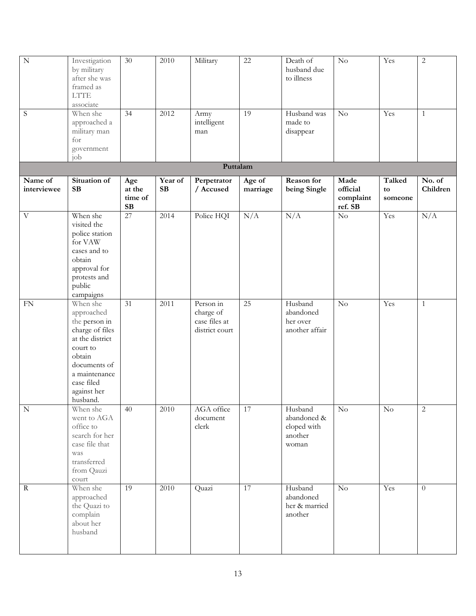| $\overline{N}$            | Investigation<br>by military<br>after she was<br>framed as<br><b>LTTE</b><br>associate                                                                                        | $\overline{30}$                | 2010          | Military                                                  | $\overline{22}$    | Death of<br>husband due<br>to illness                     | $\overline{\text{No}}$                   | Yes                     | $\sqrt{2}$         |
|---------------------------|-------------------------------------------------------------------------------------------------------------------------------------------------------------------------------|--------------------------------|---------------|-----------------------------------------------------------|--------------------|-----------------------------------------------------------|------------------------------------------|-------------------------|--------------------|
| $\mathbf S$               | When she<br>approached a<br>military man<br>for<br>government                                                                                                                 | 34                             | 2012          | Army<br>intelligent<br>man                                | 19                 | Husband was<br>made to<br>disappear                       | No                                       | Yes                     | $\mathbf{1}$       |
|                           | job                                                                                                                                                                           |                                |               | Puttalam                                                  |                    |                                                           |                                          |                         |                    |
| Name of<br>interviewee    | Situation of<br>SB                                                                                                                                                            | Age<br>at the<br>time of<br>SB | Year of<br>SB | Perpetrator<br>/ Accused                                  | Age of<br>marriage | Reason for<br>being Single                                | Made<br>official<br>complaint<br>ref. SB | Talked<br>to<br>someone | No. of<br>Children |
| $\boldsymbol{\mathrm{V}}$ | When she<br>visited the<br>police station<br>for VAW<br>cases and to<br>obtain<br>approval for<br>protests and<br>public<br>campaigns                                         | 27                             | 2014          | Police HQI                                                | N/A                | N/A                                                       | $\rm No$                                 | Yes                     | N/A                |
| ${\rm FN}$                | When she<br>approached<br>the person in<br>charge of files<br>at the district<br>court to<br>obtain<br>documents of<br>a maintenance<br>case filed<br>against her<br>husband. | 31                             | 2011          | Person in<br>charge of<br>case files at<br>district court | 25                 | Husband<br>abandoned<br>her over<br>another affair        | $\rm No$                                 | Yes                     | $\mathbf{1}$       |
| ${\bf N}$                 | When she<br>went to AGA<br>office to<br>search for her<br>case file that<br>was<br>transferred<br>from Qauzi<br>$\text{court}$                                                | 40                             | 2010          | AGA office<br>document<br>clerk                           | $17\,$             | Husband<br>abandoned &<br>eloped with<br>another<br>woman | $\rm No$                                 | $\rm No$                | $\overline{c}$     |
| $\mathbf R$               | When she<br>approached<br>the Quazi to<br>complain<br>about her<br>husband                                                                                                    | $\overline{19}$                | 2010          | Quazi                                                     | 17                 | Husband<br>abandoned<br>her & married<br>another          | $\rm No$                                 | Yes                     | $\theta$           |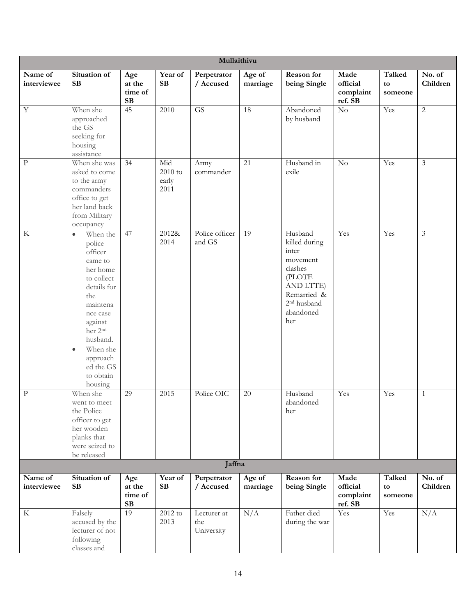| Mullaithivu            |                                                                                                                                                                                                                                                       |                                       |                                   |                                  |                    |                                                                                                                                               |                                          |                         |                    |
|------------------------|-------------------------------------------------------------------------------------------------------------------------------------------------------------------------------------------------------------------------------------------------------|---------------------------------------|-----------------------------------|----------------------------------|--------------------|-----------------------------------------------------------------------------------------------------------------------------------------------|------------------------------------------|-------------------------|--------------------|
| Name of<br>interviewee | Situation of<br><b>SB</b>                                                                                                                                                                                                                             | Age<br>at the<br>time of<br><b>SB</b> | Year of<br><b>SB</b>              | Perpetrator<br>/ Accused         | Age of<br>marriage | Reason for<br>being Single                                                                                                                    | Made<br>official<br>complaint<br>ref. SB | Talked<br>to<br>someone | No. of<br>Children |
| $\overline{Y}$         | When she<br>approached<br>the GS<br>seeking for<br>housing<br>assistance                                                                                                                                                                              | 45                                    | 2010                              | $\overline{\text{GS}}$           | 18                 | Abandoned<br>by husband                                                                                                                       | $\overline{No}$                          | Yes                     | $\overline{2}$     |
| $\rm{P}$               | When she was<br>asked to come<br>to the army<br>commanders<br>office to get<br>her land back<br>from Military<br>occupancy                                                                                                                            | 34                                    | Mid<br>$2010$ to<br>early<br>2011 | Army<br>commander                | 21                 | Husband in<br>exile                                                                                                                           | No                                       | Yes                     | $\mathfrak{Z}$     |
| $\rm K$                | When the<br>$\bullet$<br>police<br>officer<br>came to<br>her home<br>to collect<br>details for<br>the<br>maintena<br>nce case<br>against<br>her 2 <sup>nd</sup><br>husband.<br>When she<br>$\bullet$<br>approach<br>ed the GS<br>to obtain<br>housing | 47                                    | 2012&<br>2014                     | Police officer<br>and GS         | 19                 | Husband<br>killed during<br>inter<br>movement<br>clashes<br>(PLOTE<br>AND LTTE)<br>Remarried &<br>2 <sup>nd</sup> husband<br>abandoned<br>her | Yes                                      | Yes                     | $\mathfrak{Z}$     |
| $\mathbf{P}$           | When she<br>went to meet<br>the Police<br>officer to get<br>her wooden<br>planks that<br>were seized to<br>be released                                                                                                                                | 29                                    | 2015                              | Police OIC                       | 20                 | Husband<br>abandoned<br>her                                                                                                                   | Yes                                      | Yes                     | $\mathbf{1}$       |
| Jaffna                 |                                                                                                                                                                                                                                                       |                                       |                                   |                                  |                    |                                                                                                                                               |                                          |                         |                    |
| Name of<br>interviewee | Situation of<br>SB                                                                                                                                                                                                                                    | Age<br>at the<br>time of<br><b>SB</b> | Year of<br>SB                     | Perpetrator<br>/ Accused         | Age of<br>marriage | Reason for<br>being Single                                                                                                                    | Made<br>official<br>complaint<br>ref. SB | Talked<br>to<br>someone | No. of<br>Children |
| $\rm K$                | Falsely<br>accused by the<br>lecturer of not<br>following<br>classes and                                                                                                                                                                              | 19                                    | $2012$ to<br>2013                 | Lecturer at<br>the<br>University | N/A                | Father died<br>during the war                                                                                                                 | Yes                                      | Yes                     | N/A                |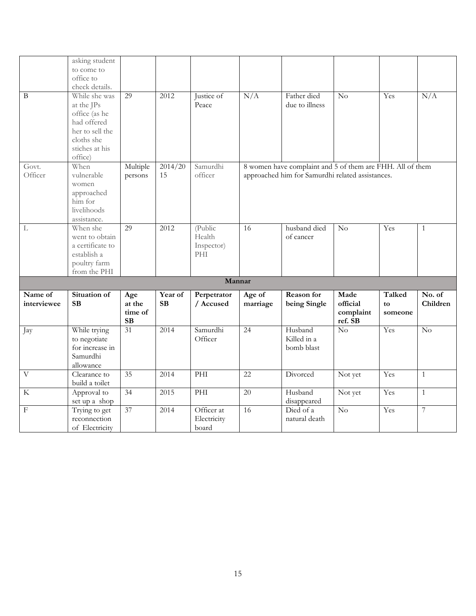|                | asking student               |                 |           |                     |                 |                                                           |                 |         |                  |
|----------------|------------------------------|-----------------|-----------|---------------------|-----------------|-----------------------------------------------------------|-----------------|---------|------------------|
|                | to come to                   |                 |           |                     |                 |                                                           |                 |         |                  |
|                | office to                    |                 |           |                     |                 |                                                           |                 |         |                  |
|                | check details.               |                 |           |                     |                 |                                                           |                 |         |                  |
| B              | While she was                | 29              | 2012      | Justice of          | N/A             | Father died                                               | No              | Yes     | N/A              |
|                | at the JPs                   |                 |           | Peace               |                 | due to illness                                            |                 |         |                  |
|                | office (as he                |                 |           |                     |                 |                                                           |                 |         |                  |
|                | had offered                  |                 |           |                     |                 |                                                           |                 |         |                  |
|                | her to sell the              |                 |           |                     |                 |                                                           |                 |         |                  |
|                | cloths she                   |                 |           |                     |                 |                                                           |                 |         |                  |
|                | stiches at his               |                 |           |                     |                 |                                                           |                 |         |                  |
|                | office)                      |                 |           |                     |                 |                                                           |                 |         |                  |
| Govt.          | When                         | Multiple        | 2014/20   | Samurdhi            |                 | 8 women have complaint and 5 of them are FHH. All of them |                 |         |                  |
| Officer        | vulnerable                   | persons         | 15        | officer             |                 | approached him for Samurdhi related assistances.          |                 |         |                  |
|                | women                        |                 |           |                     |                 |                                                           |                 |         |                  |
|                | approached                   |                 |           |                     |                 |                                                           |                 |         |                  |
|                | him for                      |                 |           |                     |                 |                                                           |                 |         |                  |
|                | livelihoods                  |                 |           |                     |                 |                                                           |                 |         |                  |
|                | assistance.                  |                 |           |                     |                 |                                                           |                 |         |                  |
| L              | When she                     | 29              | 2012      | (Public             | 16              | husband died                                              | No              | Yes     | $\mathbf{1}$     |
|                | went to obtain               |                 |           | Health              |                 | of cancer                                                 |                 |         |                  |
|                | a certificate to             |                 |           | Inspector)          |                 |                                                           |                 |         |                  |
|                | establish a                  |                 |           | PHI                 |                 |                                                           |                 |         |                  |
|                | poultry farm<br>from the PHI |                 |           |                     |                 |                                                           |                 |         |                  |
|                |                              |                 |           | Mannar              |                 |                                                           |                 |         |                  |
|                |                              |                 |           |                     |                 |                                                           |                 |         |                  |
| Name of        | Situation of                 | Age             | Year of   | Perpetrator         | Age of          | Reason for                                                | Made            | Talked  | No. of           |
| interviewee    | <b>SB</b>                    | at the          | <b>SB</b> | / Accused           | marriage        | being Single                                              | official        | to      | Children         |
|                |                              | time of         |           |                     |                 |                                                           | complaint       | someone |                  |
|                |                              | <b>SB</b><br>31 |           |                     |                 |                                                           | ref. SB         |         |                  |
| Jay            | While trying<br>to negotiate |                 | 2014      | Samurdhi<br>Officer | $\overline{24}$ | Husband<br>Killed in a                                    | $\rm No$        | Yes     | $\overline{No}$  |
|                | for increase in              |                 |           |                     |                 | bomb blast                                                |                 |         |                  |
|                | Samurdhi                     |                 |           |                     |                 |                                                           |                 |         |                  |
|                | allowance                    |                 |           |                     |                 |                                                           |                 |         |                  |
| $\overline{V}$ | Clearance to                 | 35              | 2014      | PHI                 | 22              | Divorced                                                  | Not yet         | Yes     | $\mathbf{1}$     |
|                | build a toilet               |                 |           |                     |                 |                                                           |                 |         |                  |
| $\rm K$        | Approval to                  | $\overline{34}$ | 2015      | PHI                 | 20              | Husband                                                   | Not yet         | Yes     | $\mathbf{1}$     |
|                | set up a shop                |                 |           |                     |                 | disappeared                                               |                 |         |                  |
| $\mathbf F$    | Trying to get                | 37              | 2014      | Officer at          | 16              | Died of a                                                 | $\overline{No}$ | Yes     | $\boldsymbol{7}$ |
|                | reconnection                 |                 |           | Electricity         |                 | natural death                                             |                 |         |                  |
|                | of Electricity               |                 |           | board               |                 |                                                           |                 |         |                  |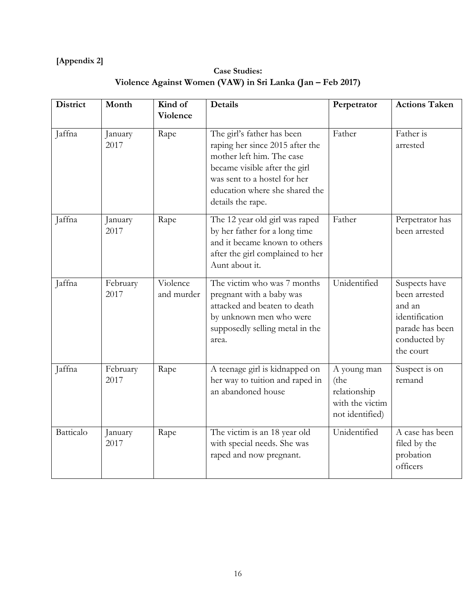## **[Appendix 2]**

# **Case Studies: Violence Against Women (VAW) in Sri Lanka (Jan – Feb 2017)**

| <b>District</b> | Month            | Kind of<br><b>Violence</b> | <b>Details</b>                                                                                                                                                                                                     | Perpetrator                                                               | <b>Actions Taken</b>                                                                                       |
|-----------------|------------------|----------------------------|--------------------------------------------------------------------------------------------------------------------------------------------------------------------------------------------------------------------|---------------------------------------------------------------------------|------------------------------------------------------------------------------------------------------------|
| Jaffna          | January<br>2017  | Rape                       | The girl's father has been<br>raping her since 2015 after the<br>mother left him. The case<br>became visible after the girl<br>was sent to a hostel for her<br>education where she shared the<br>details the rape. | Father                                                                    | Father is<br>arrested                                                                                      |
| Jaffna          | January<br>2017  | Rape                       | The 12 year old girl was raped<br>by her father for a long time<br>and it became known to others<br>after the girl complained to her<br>Aunt about it.                                                             | Father                                                                    | Perpetrator has<br>been arrested                                                                           |
| Jaffna          | February<br>2017 | Violence<br>and murder     | The victim who was 7 months<br>pregnant with a baby was<br>attacked and beaten to death<br>by unknown men who were<br>supposedly selling metal in the<br>area.                                                     | Unidentified                                                              | Suspects have<br>been arrested<br>and an<br>identification<br>parade has been<br>conducted by<br>the court |
| Jaffna          | February<br>2017 | Rape                       | A teenage girl is kidnapped on<br>her way to tuition and raped in<br>an abandoned house                                                                                                                            | A young man<br>(the<br>relationship<br>with the victim<br>not identified) | Suspect is on<br>remand                                                                                    |
| Batticalo       | January<br>2017  | Rape                       | The victim is an 18 year old<br>with special needs. She was<br>raped and now pregnant.                                                                                                                             | Unidentified                                                              | A case has been<br>filed by the<br>probation<br>officers                                                   |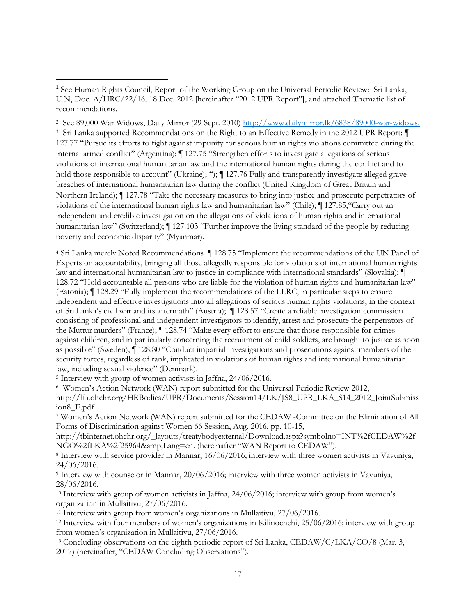<sup>2</sup> See 89,000 War Widows, Daily Mirror (29 Sept. 2010) [http://www.dailymirror.lk/6838/89000-war-widows.](http://www.dailymirror.lk/6838/89000-war-widows) <sup>3</sup> Sri Lanka supported Recommendations on the Right to an Effective Remedy in the 2012 UPR Report: ¶ 127.77 "Pursue its efforts to fight against impunity for serious human rights violations committed during the internal armed conflict" (Argentina); ¶ 127.75 "Strengthen efforts to investigate allegations of serious violations of international humanitarian law and the international human rights during the conflict and to hold those responsible to account" (Ukraine); ");  $\P$  127.76 Fully and transparently investigate alleged grave breaches of international humanitarian law during the conflict (United Kingdom of Great Britain and Northern Ireland); ¶ 127.78 "Take the necessary measures to bring into justice and prosecute perpetrators of violations of the international human rights law and humanitarian law" (Chile); ¶ 127.85,"Carry out an independent and credible investigation on the allegations of violations of human rights and international humanitarian law" (Switzerland);  $\P$  127.103 "Further improve the living standard of the people by reducing poverty and economic disparity" (Myanmar).

<sup>4</sup> Sri Lanka merely Noted Recommendations ¶ 128.75 "Implement the recommendations of the UN Panel of Experts on accountability, bringing all those allegedly responsible for violations of international human rights law and international humanitarian law to justice in compliance with international standards" (Slovakia); ¶ 128.72 "Hold accountable all persons who are liable for the violation of human rights and humanitarian law" (Estonia); ¶ 128.29 "Fully implement the recommendations of the LLRC, in particular steps to ensure independent and effective investigations into all allegations of serious human rights violations, in the context of Sri Lanka's civil war and its aftermath" (Austria); ¶ 128.57 "Create a reliable investigation commission consisting of professional and independent investigators to identify, arrest and prosecute the perpetrators of the Muttur murders" (France); ¶ 128.74 "Make every effort to ensure that those responsible for crimes against children, and in particularly concerning the recruitment of child soldiers, are brought to justice as soon as possible" (Sweden); ¶ 128.80 "Conduct impartial investigations and prosecutions against members of the security forces, regardless of rank, implicated in violations of human rights and international humanitarian law, including sexual violence" (Denmark).

<sup>5</sup> Interview with group of women activists in Jaffna, 24/06/2016.

 $\overline{a}$ 

6 Women's Action Network (WAN) report submitted for the Universal Periodic Review 2012, http://lib.ohchr.org/HRBodies/UPR/Documents/Session14/LK/JS8\_UPR\_LKA\_S14\_2012\_JointSubmiss ion8\_E.pdf

<sup>7</sup> Women's Action Network (WAN) report submitted for the CEDAW -Committee on the Elimination of All Forms of Discrimination against Women 66 Session, Aug. 2016, pp. 10-15,

[http://tbinternet.ohchr.org/\\_layouts/treatybodyexternal/Download.aspx?symbolno=INT%2fCEDAW%2f](http://tbinternet.ohchr.org/_layouts/treatybodyexternal/Download.aspx?symbolno=INT%2fCEDAW%2fNGO%2fLK) [NGO%2fLK](http://tbinternet.ohchr.org/_layouts/treatybodyexternal/Download.aspx?symbolno=INT%2fCEDAW%2fNGO%2fLK)A%2f25964&Lang=en. (hereinafter "WAN Report to CEDAW").

<sup>8</sup> Interview with service provider in Mannar, 16/06/2016; interview with three women activists in Vavuniya,  $24/06/2016$ .

<sup>9</sup> Interview with counselor in Mannar, 20/06/2016; interview with three women activists in Vavuniya, 28/06/2016.

<sup>10</sup> Interview with group of women activists in Jaffna, 24/06/2016; interview with group from women's organization in Mullaitivu, 27/06/2016.

<sup>11</sup> Interview with group from women's organizations in Mullaitivu, 27/06/2016.

<sup>12</sup> Interview with four members of women's organizations in Kilinochchi, 25/06/2016; interview with group from women's organization in Mullaitivu, 27/06/2016.

<sup>13</sup> Concluding observations on the eighth periodic report of Sri Lanka, CEDAW/C/LKA/CO/8 (Mar. 3, 2017) (hereinafter, "CEDAW Concluding Observations").

<sup>&</sup>lt;sup>1</sup> See Human Rights Council, Report of the Working Group on the Universal Periodic Review: Sri Lanka, U.N, Doc. A/HRC/22/16, 18 Dec. 2012 [hereinafter "2012 UPR Report"], and attached Thematic list of recommendations.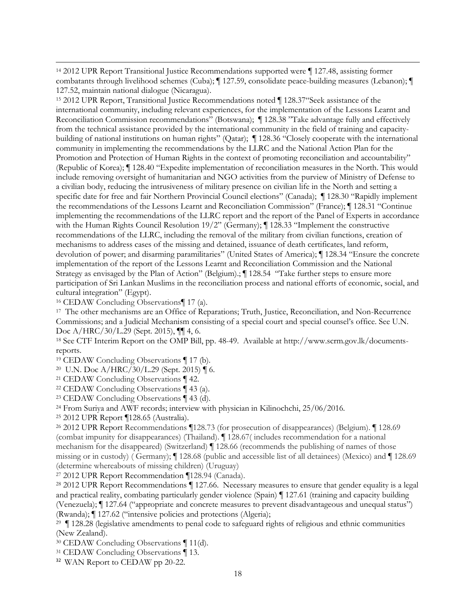$\overline{a}$ <sup>14</sup> 2012 UPR Report Transitional Justice Recommendations supported were ¶ 127.48, assisting former combatants through livelihood schemes (Cuba); ¶ 127.59, consolidate peace-building measures (Lebanon); ¶ 127.52, maintain national dialogue (Nicaragua).

<sup>15</sup> 2012 UPR Report, Transitional Justice Recommendations noted ¶ 128.37"Seek assistance of the international community, including relevant experiences, for the implementation of the Lessons Learnt and Reconciliation Commission recommendations" (Botswana); ¶ 128.38 "Take advantage fully and effectively from the technical assistance provided by the international community in the field of training and capacitybuilding of national institutions on human rights" (Qatar); ¶ 128.36 "Closely cooperate with the international community in implementing the recommendations by the LLRC and the National Action Plan for the Promotion and Protection of Human Rights in the context of promoting reconciliation and accountability" (Republic of Korea); ¶ 128.40 "Expedite implementation of reconciliation measures in the North. This would include removing oversight of humanitarian and NGO activities from the purview of Ministry of Defense to a civilian body, reducing the intrusiveness of military presence on civilian life in the North and setting a specific date for free and fair Northern Provincial Council elections" (Canada);  $\P$  128.30 "Rapidly implement the recommendations of the Lessons Learnt and Reconciliation Commission" (France); ¶ 128.31 "Continue implementing the recommendations of the LLRC report and the report of the Panel of Experts in accordance with the Human Rights Council Resolution 19/2" (Germany); ¶ 128.33 "Implement the constructive recommendations of the LLRC, including the removal of the military from civilian functions, creation of mechanisms to address cases of the missing and detained, issuance of death certificates, land reform, devolution of power; and disarming paramilitaries" (United States of America); ¶ 128.34 "Ensure the concrete implementation of the report of the Lessons Learnt and Reconciliation Commission and the National Strategy as envisaged by the Plan of Action" (Belgium).; ¶ 128.54 "Take further steps to ensure more participation of Sri Lankan Muslims in the reconciliation process and national efforts of economic, social, and cultural integration" (Egypt).

<sup>16</sup> CEDAW Concluding Observations¶ 17 (a).

<sup>17</sup> The other mechanisms are an Office of Reparations; Truth, Justice, Reconciliation, and Non-Recurrence Commissions; and a Judicial Mechanism consisting of a special court and special counsel's office. See U.N. Doc A/HRC/30/L.29 (Sept. 2015), ¶¶ 4, 6.

<sup>18</sup> See CTF Interim Report on the OMP Bill, pp. 48-49. Available at http://www.scrm.gov.lk/documentsreports.

<sup>19</sup> CEDAW Concluding Observations ¶ 17 (b).

20 U.N. Doc A/HRC/30/L.29 (Sept. 2015) ¶ 6.

<sup>21</sup> CEDAW Concluding Observations ¶ 42.

<sup>22</sup> CEDAW Concluding Observations ¶ 43 (a).

<sup>23</sup> CEDAW Concluding Observations ¶ 43 (d).

<sup>24</sup> From Suriya and AWF records; interview with physician in Kilinochchi, 25/06/2016.

<sup>25</sup> 2012 UPR Report ¶128.65 (Australia).

<sup>26</sup> 2012 UPR Report Recommendations ¶128.73 (for prosecution of disappearances) (Belgium). ¶ 128.69 (combat impunity for disappearances) (Thailand). ¶ 128.67( includes recommendation for a national mechanism for the disappeared) (Switzerland) ¶ 128.66 (recommends the publishing of names of those missing or in custody) ( Germany); ¶ 128.68 (public and accessible list of all detainees) (Mexico) and ¶ 128.69 (determine whereabouts of missing children) (Uruguay)

<sup>27</sup> 2012 UPR Report Recommendation ¶128.94 (Canada).

<sup>28</sup> 2012 UPR Report Recommendations ¶ 127.66. Necessary measures to ensure that gender equality is a legal and practical reality, combating particularly gender violence (Spain) ¶ 127.61 (training and capacity building (Venezuela); ¶ 127.64 ("appropriate and concrete measures to prevent disadvantageous and unequal status") (Rwanda); ¶ 127.62 ("intensive policies and protections (Algeria);

<sup>29</sup> | 128.28 (legislative amendments to penal code to safeguard rights of religious and ethnic communities (New Zealand).

<sup>30</sup> CEDAW Concluding Observations ¶ 11(d).

<sup>31</sup> CEDAW Concluding Observations ¶ 13.

<sup>32</sup> WAN Report to CEDAW pp 20-22.